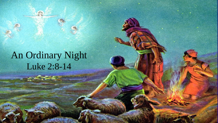# An Ordinary Night Luke 2:8-14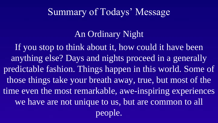#### Summary of Todays' Message

#### An Ordinary Night

If you stop to think about it, how could it have been anything else? Days and nights proceed in a generally predictable fashion. Things happen in this world. Some of those things take your breath away, true, but most of the time even the most remarkable, awe-inspiring experiences we have are not unique to us, but are common to all people.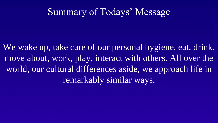### Summary of Todays' Message

We wake up, take care of our personal hygiene, eat, drink, move about, work, play, interact with others. All over the world, our cultural differences aside, we approach life in remarkably similar ways.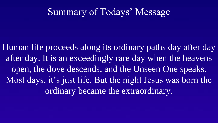### Summary of Todays' Message

Human life proceeds along its ordinary paths day after day after day. It is an exceedingly rare day when the heavens open, the dove descends, and the Unseen One speaks. Most days, it's just life. But the night Jesus was born the ordinary became the extraordinary.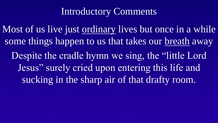## Introductory Comments

Most of us live just <u>ordinary</u> lives but once in a while some things happen to us that takes our breath away Despite the cradle hymn we sing, the "little Lord" Jesus" surely cried upon entering this life and sucking in the sharp air of that drafty room.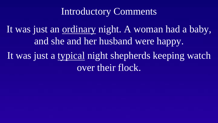#### Introductory Comments

It was just an ordinary night. A woman had a baby, and she and her husband were happy. It was just a typical night shepherds keeping watch over their flock.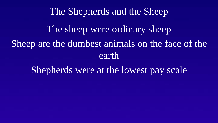#### The Shepherds and the Sheep

The sheep were ordinary sheep Sheep are the dumbest animals on the face of the earth

Shepherds were at the lowest pay scale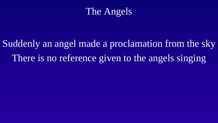

# Suddenly an angel made a proclamation from the sky There is no reference given to the angels singing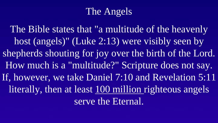# The Angels

The Bible states that "a multitude of the heavenly host (angels)" (Luke 2:13) were visibly seen by shepherds shouting for joy over the birth of the Lord. How much is a "multitude?" Scripture does not say. If, however, we take Daniel 7:10 and Revelation 5:11 literally, then at least 100 million righteous angels serve the Eternal.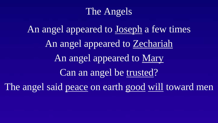## The Angels

An angel appeared to Joseph a few times An angel appeared to Zechariah An angel appeared to Mary Can an angel be trusted? The angel said peace on earth good will toward men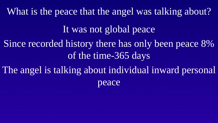It was not global peace Since recorded history there has only been peace 8% of the time-365 days The angel is talking about individual inward personal peace What is the peace that the angel was talking about?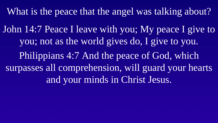What is the peace that the angel was talking about?

John 14:7 Peace I leave with you; My peace I give to you; not as the world gives do, I give to you. Philippians 4:7 And the peace of God, which surpasses all comprehension, will guard your hearts and your minds in Christ Jesus.